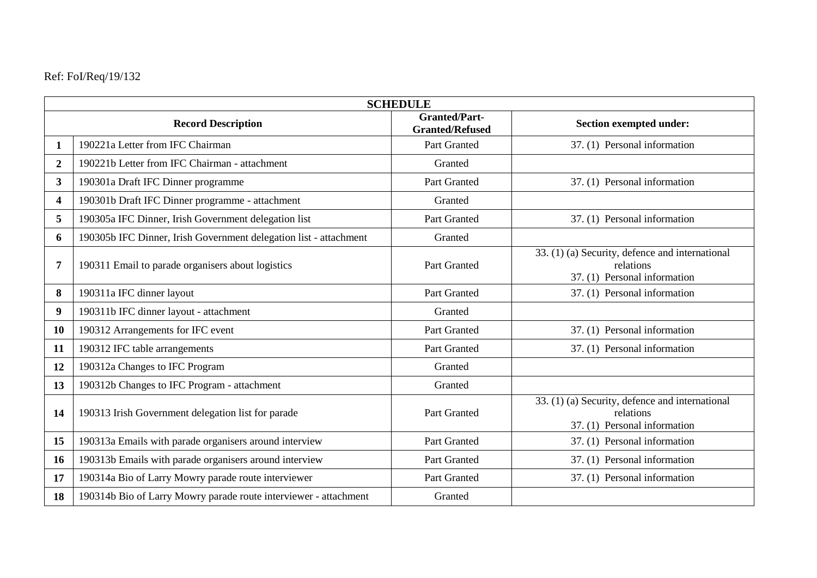|  |  | Ref: FoI/Req/19/132 |  |  |
|--|--|---------------------|--|--|
|--|--|---------------------|--|--|

| <b>SCHEDULE</b>                                                 |                                                                   |                                                |                                                                                              |  |  |  |
|-----------------------------------------------------------------|-------------------------------------------------------------------|------------------------------------------------|----------------------------------------------------------------------------------------------|--|--|--|
| <b>Record Description</b>                                       |                                                                   | <b>Granted/Part-</b><br><b>Granted/Refused</b> | <b>Section exempted under:</b>                                                               |  |  |  |
| 1                                                               | 190221a Letter from IFC Chairman                                  | Part Granted                                   | 37. (1) Personal information                                                                 |  |  |  |
| 190221b Letter from IFC Chairman - attachment<br>$\overline{2}$ |                                                                   | Granted                                        |                                                                                              |  |  |  |
| $\overline{\mathbf{3}}$                                         | 190301a Draft IFC Dinner programme                                | Part Granted                                   | 37. (1) Personal information                                                                 |  |  |  |
| 190301b Draft IFC Dinner programme - attachment<br>4            |                                                                   | Granted                                        |                                                                                              |  |  |  |
| 5                                                               | 190305a IFC Dinner, Irish Government delegation list              | Part Granted                                   | 37. (1) Personal information                                                                 |  |  |  |
| 6                                                               | 190305b IFC Dinner, Irish Government delegation list - attachment | Granted                                        |                                                                                              |  |  |  |
| 7                                                               | 190311 Email to parade organisers about logistics                 | Part Granted                                   | 33. (1) (a) Security, defence and international<br>relations<br>37. (1) Personal information |  |  |  |
| 8                                                               | 190311a IFC dinner layout                                         | Part Granted                                   | 37. (1) Personal information                                                                 |  |  |  |
| 9                                                               | 190311b IFC dinner layout - attachment                            | Granted                                        |                                                                                              |  |  |  |
| 10                                                              | 190312 Arrangements for IFC event                                 | Part Granted                                   | 37. (1) Personal information                                                                 |  |  |  |
| 11                                                              | 190312 IFC table arrangements                                     | Part Granted                                   | 37. (1) Personal information                                                                 |  |  |  |
| 12                                                              | 190312a Changes to IFC Program                                    | Granted                                        |                                                                                              |  |  |  |
| 13                                                              | 190312b Changes to IFC Program - attachment                       | Granted                                        |                                                                                              |  |  |  |
| 14                                                              | 190313 Irish Government delegation list for parade                | Part Granted                                   | 33. (1) (a) Security, defence and international<br>relations<br>37. (1) Personal information |  |  |  |
| 15                                                              | 190313a Emails with parade organisers around interview            | Part Granted                                   | 37. (1) Personal information                                                                 |  |  |  |
| 16                                                              | 190313b Emails with parade organisers around interview            | Part Granted                                   | 37. (1) Personal information                                                                 |  |  |  |
| 17                                                              | 190314a Bio of Larry Mowry parade route interviewer               | Part Granted                                   | 37. (1) Personal information                                                                 |  |  |  |
| 18                                                              | 190314b Bio of Larry Mowry parade route interviewer - attachment  | Granted                                        |                                                                                              |  |  |  |